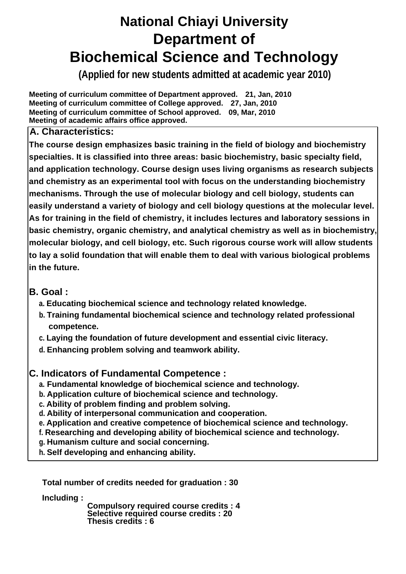## **National Chiayi University Department of Biochemical Science and Technology**

**(Applied for new students admitted at academic year 2010)**

**Meeting of curriculum committee of Department approved. 21, Jan, 2010 Meeting of curriculum committee of College approved. 27, Jan, 2010 Meeting of curriculum committee of School approved. 09, Mar, 2010 Meeting of academic affairs office approved.**

**A. Characteristics:** 

**The course design emphasizes basic training in the field of biology and biochemistry specialties. It is classified into three areas: basic biochemistry, basic specialty field, and application technology. Course design uses living organisms as research subjects and chemistry as an experimental tool with focus on the understanding biochemistry mechanisms. Through the use of molecular biology and cell biology, students can easily understand a variety of biology and cell biology questions at the molecular level. As for training in the field of chemistry, it includes lectures and laboratory sessions in basic chemistry, organic chemistry, and analytical chemistry as well as in biochemistry, molecular biology, and cell biology, etc. Such rigorous course work will allow students to lay a solid foundation that will enable them to deal with various biological problems in the future.** 

## **B. Goal :**

- **a. Educating biochemical science and technology related knowledge.**
- **b. Training fundamental biochemical science and technology related professional competence.**
- **c. Laying the foundation of future development and essential civic literacy.**
- **d. Enhancing problem solving and teamwork ability.**

## **C. Indicators of Fundamental Competence :**

- **a. Fundamental knowledge of biochemical science and technology.**
- **b. Application culture of biochemical science and technology.**
- **c. Ability of problem finding and problem solving.**
- **d. Ability of interpersonal communication and cooperation.**
- **e. Application and creative competence of biochemical science and technology.**
- **f. Researching and developing ability of biochemical science and technology.**
- **g. Humanism culture and social concerning.**
- **h. Self developing and enhancing ability.**

**Total number of credits needed for graduation : 30** 

**Including :** 

 **Compulsory required course credits : 4 Selective required course credits : 20 Thesis credits : 6**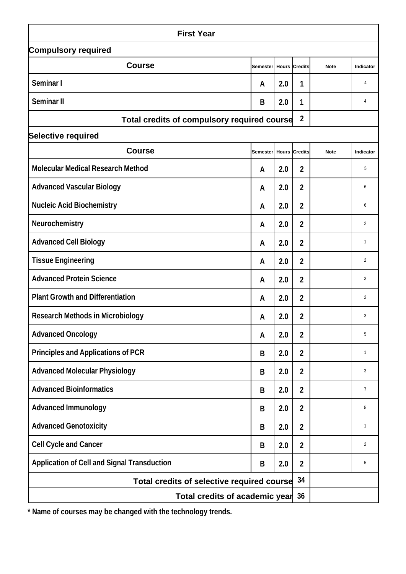| <b>First Year</b>                                  |                 |                  |                      |             |                |  |  |  |  |
|----------------------------------------------------|-----------------|------------------|----------------------|-------------|----------------|--|--|--|--|
| <b>Compulsory required</b>                         |                 |                  |                      |             |                |  |  |  |  |
| <b>Course</b>                                      | Semester        |                  | <b>Hours Credits</b> | <b>Note</b> | Indicator      |  |  |  |  |
| Seminar I                                          | A               | 2.0              | 1                    |             | 4              |  |  |  |  |
| <b>Seminar II</b>                                  | B               | 2.0              | 1                    |             | 4              |  |  |  |  |
| Total credits of compulsory required course        |                 | $\boldsymbol{2}$ |                      |             |                |  |  |  |  |
| <b>Selective required</b>                          |                 |                  |                      |             |                |  |  |  |  |
| <b>Course</b>                                      | <b>Semester</b> |                  | <b>Hours Credits</b> | <b>Note</b> | Indicator      |  |  |  |  |
| <b>Molecular Medical Research Method</b>           | A               | 2.0              | $\boldsymbol{2}$     |             | 5              |  |  |  |  |
| <b>Advanced Vascular Biology</b>                   | A               | 2.0              | $\boldsymbol{2}$     |             | 6              |  |  |  |  |
| <b>Nucleic Acid Biochemistry</b>                   | A               | 2.0              | $\overline{2}$       |             | 6              |  |  |  |  |
| <b>Neurochemistry</b>                              | A               | 2.0              | $\boldsymbol{2}$     |             | $\overline{2}$ |  |  |  |  |
| <b>Advanced Cell Biology</b>                       | A               | 2.0              | $\overline{2}$       |             | $\mathbf{1}$   |  |  |  |  |
| <b>Tissue Engineering</b>                          | A               | 2.0              | $\boldsymbol{2}$     |             | $\overline{2}$ |  |  |  |  |
| <b>Advanced Protein Science</b>                    | A               | 2.0              | $\overline{2}$       |             | 3              |  |  |  |  |
| <b>Plant Growth and Differentiation</b>            | A               | 2.0              | $\overline{2}$       |             | $\overline{2}$ |  |  |  |  |
| <b>Research Methods in Microbiology</b>            | A               | 2.0              | $\boldsymbol{2}$     |             | 3              |  |  |  |  |
| <b>Advanced Oncology</b>                           | A               | 2.0              | $\mathbf{2}$         |             | 5              |  |  |  |  |
| <b>Principles and Applications of PCR</b>          | B               | 2.0              | $\overline{2}$       |             | $\mathbf{1}$   |  |  |  |  |
| <b>Advanced Molecular Physiology</b>               | B               | 2.0              | $\boldsymbol{2}$     |             | 3              |  |  |  |  |
| <b>Advanced Bioinformatics</b>                     | B               | 2.0              | $\overline{2}$       |             | $\overline{7}$ |  |  |  |  |
| <b>Advanced Immunology</b>                         | B               | 2.0              | $\boldsymbol{2}$     |             | 5              |  |  |  |  |
| <b>Advanced Genotoxicity</b>                       | B               | 2.0              | $\boldsymbol{2}$     |             | $\mathbf{1}$   |  |  |  |  |
| <b>Cell Cycle and Cancer</b>                       | B               | 2.0              | $\boldsymbol{2}$     |             | $\overline{2}$ |  |  |  |  |
| <b>Application of Cell and Signal Transduction</b> | B               | 2.0              | $\boldsymbol{2}$     |             | 5              |  |  |  |  |
| Total credits of selective required course         | 34              |                  |                      |             |                |  |  |  |  |
| Total credits of academic year 36                  |                 |                  |                      |             |                |  |  |  |  |

**\* Name of courses may be changed with the technology trends.**